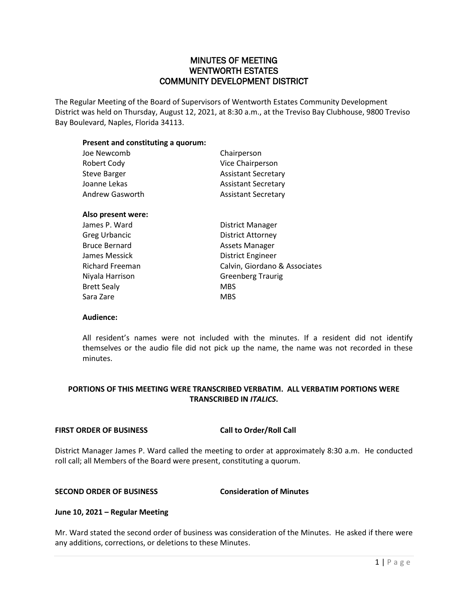# MINUTES OF MEETING WENTWORTH ESTATES COMMUNITY DEVELOPMENT DISTRICT

The Regular Meeting of the Board of Supervisors of Wentworth Estates Community Development District was held on Thursday, August 12, 2021, at 8:30 a.m., at the Treviso Bay Clubhouse, 9800 Treviso Bay Boulevard, Naples, Florida 34113.

## **Present and constituting a quorum:**

| Joe Newcomb            | Chairperson                   |
|------------------------|-------------------------------|
| Robert Cody            | Vice Chairperson              |
| <b>Steve Barger</b>    | <b>Assistant Secretary</b>    |
| Joanne Lekas           | <b>Assistant Secretary</b>    |
| Andrew Gasworth        | <b>Assistant Secretary</b>    |
| Also present were:     |                               |
| James P. Ward          | District Manager              |
| <b>Greg Urbancic</b>   | District Attorney             |
| <b>Bruce Bernard</b>   | Assets Manager                |
| James Messick          | District Engineer             |
| <b>Richard Freeman</b> | Calvin, Giordano & Associates |
| Niyala Harrison        | <b>Greenberg Traurig</b>      |
| <b>Brett Sealy</b>     | <b>MBS</b>                    |
| Sara Zare              | MBS                           |
|                        |                               |

### **Audience:**

All resident's names were not included with the minutes. If a resident did not identify themselves or the audio file did not pick up the name, the name was not recorded in these minutes.

# **PORTIONS OF THIS MEETING WERE TRANSCRIBED VERBATIM. ALL VERBATIM PORTIONS WERE TRANSCRIBED IN** *ITALICS***.**

### **FIRST ORDER OF BUSINESS Call to Order/Roll Call**

District Manager James P. Ward called the meeting to order at approximately 8:30 a.m. He conducted roll call; all Members of the Board were present, constituting a quorum.

### **SECOND ORDER OF BUSINESS Consideration of Minutes**

### **June 10, 2021 – Regular Meeting**

Mr. Ward stated the second order of business was consideration of the Minutes. He asked if there were any additions, corrections, or deletions to these Minutes.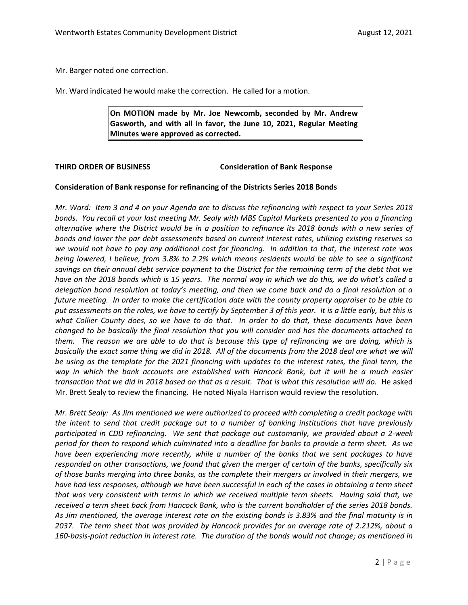Mr. Barger noted one correction.

Mr. Ward indicated he would make the correction. He called for a motion.

**On MOTION made by Mr. Joe Newcomb, seconded by Mr. Andrew Gasworth, and with all in favor, the June 10, 2021, Regular Meeting Minutes were approved as corrected.**

**THIRD ORDER OF BUSINESS Consideration of Bank Response**

### **Consideration of Bank response for refinancing of the Districts Series 2018 Bonds**

*Mr. Ward: Item 3 and 4 on your Agenda are to discuss the refinancing with respect to your Series 2018 bonds. You recall at your last meeting Mr. Sealy with MBS Capital Markets presented to you a financing alternative where the District would be in a position to refinance its 2018 bonds with a new series of bonds and lower the par debt assessments based on current interest rates, utilizing existing reserves so we would not have to pay any additional cost for financing. In addition to that, the interest rate was being lowered, I believe, from 3.8% to 2.2% which means residents would be able to see a significant savings on their annual debt service payment to the District for the remaining term of the debt that we have on the 2018 bonds which is 15 years. The normal way in which we do this, we do what's called a delegation bond resolution at today's meeting, and then we come back and do a final resolution at a future meeting. In order to make the certification date with the county property appraiser to be able to put assessments on the roles, we have to certify by September 3 of this year. It is a little early, but this is what Collier County does, so we have to do that. In order to do that, these documents have been changed to be basically the final resolution that you will consider and has the documents attached to them. The reason we are able to do that is because this type of refinancing we are doing, which is basically the exact same thing we did in 2018. All of the documents from the 2018 deal are what we will be using as the template for the 2021 financing with updates to the interest rates, the final term, the way in which the bank accounts are established with Hancock Bank, but it will be a much easier transaction that we did in 2018 based on that as a result. That is what this resolution will do.* He asked Mr. Brett Sealy to review the financing. He noted Niyala Harrison would review the resolution.

*Mr. Brett Sealy: As Jim mentioned we were authorized to proceed with completing a credit package with the intent to send that credit package out to a number of banking institutions that have previously participated in CDD refinancing. We sent that package out customarily, we provided about a 2-week period for them to respond which culminated into a deadline for banks to provide a term sheet. As we have been experiencing more recently, while a number of the banks that we sent packages to have responded on other transactions, we found that given the merger of certain of the banks, specifically six of those banks merging into three banks, as the complete their mergers or involved in their mergers, we have had less responses, although we have been successful in each of the cases in obtaining a term sheet that was very consistent with terms in which we received multiple term sheets. Having said that, we received a term sheet back from Hancock Bank, who is the current bondholder of the series 2018 bonds. As Jim mentioned, the average interest rate on the existing bonds is 3.83% and the final maturity is in 2037. The term sheet that was provided by Hancock provides for an average rate of 2.212%, about a 160-basis-point reduction in interest rate. The duration of the bonds would not change; as mentioned in*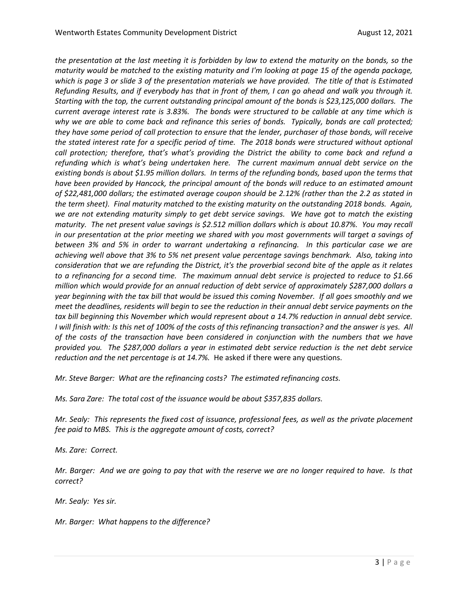*the presentation at the last meeting it is forbidden by law to extend the maturity on the bonds, so the maturity would be matched to the existing maturity and I'm looking at page 15 of the agenda package, which is page 3 or slide 3 of the presentation materials we have provided. The title of that is Estimated Refunding Results, and if everybody has that in front of them, I can go ahead and walk you through it. Starting with the top, the current outstanding principal amount of the bonds is \$23,125,000 dollars. The current average interest rate is 3.83%. The bonds were structured to be callable at any time which is why we are able to come back and refinance this series of bonds. Typically, bonds are call protected; they have some period of call protection to ensure that the lender, purchaser of those bonds, will receive the stated interest rate for a specific period of time. The 2018 bonds were structured without optional call protection; therefore, that's what's providing the District the ability to come back and refund a refunding which is what's being undertaken here. The current maximum annual debt service on the existing bonds is about \$1.95 million dollars. In terms of the refunding bonds, based upon the terms that have been provided by Hancock, the principal amount of the bonds will reduce to an estimated amount of \$22,481,000 dollars; the estimated average coupon should be 2.12% (rather than the 2.2 as stated in the term sheet). Final maturity matched to the existing maturity on the outstanding 2018 bonds. Again, we are not extending maturity simply to get debt service savings. We have got to match the existing maturity. The net present value savings is \$2.512 million dollars which is about 10.87%. You may recall in our presentation at the prior meeting we shared with you most governments will target a savings of between 3% and 5% in order to warrant undertaking a refinancing. In this particular case we are achieving well above that 3% to 5% net present value percentage savings benchmark. Also, taking into consideration that we are refunding the District, it's the proverbial second bite of the apple as it relates to a refinancing for a second time. The maximum annual debt service is projected to reduce to \$1.66 million which would provide for an annual reduction of debt service of approximately \$287,000 dollars a year beginning with the tax bill that would be issued this coming November. If all goes smoothly and we meet the deadlines, residents will begin to see the reduction in their annual debt service payments on the tax bill beginning this November which would represent about a 14.7% reduction in annual debt service. I will finish with: Is this net of 100% of the costs of this refinancing transaction? and the answer is yes. All of the costs of the transaction have been considered in conjunction with the numbers that we have provided you. The \$287,000 dollars a year in estimated debt service reduction is the net debt service reduction and the net percentage is at 14.7%.* He asked if there were any questions.

*Mr. Steve Barger: What are the refinancing costs? The estimated refinancing costs.* 

*Ms. Sara Zare: The total cost of the issuance would be about \$357,835 dollars.* 

*Mr. Sealy: This represents the fixed cost of issuance, professional fees, as well as the private placement fee paid to MBS. This is the aggregate amount of costs, correct?*

*Ms. Zare: Correct.* 

*Mr. Barger: And we are going to pay that with the reserve we are no longer required to have. Is that correct?*

*Mr. Sealy: Yes sir.* 

*Mr. Barger: What happens to the difference?*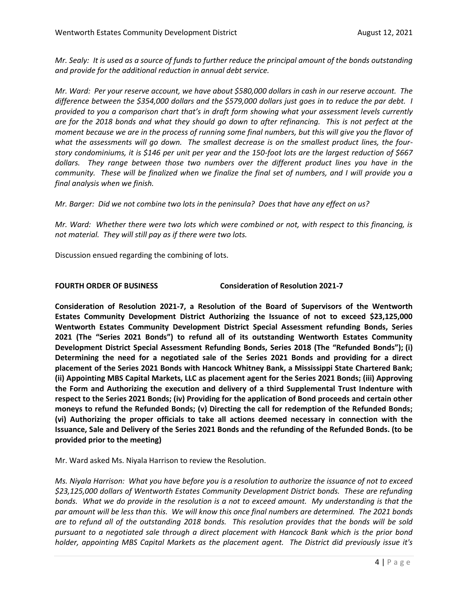*Mr. Sealy: It is used as a source of funds to further reduce the principal amount of the bonds outstanding and provide for the additional reduction in annual debt service.* 

*Mr. Ward: Per your reserve account, we have about \$580,000 dollars in cash in our reserve account. The difference between the \$354,000 dollars and the \$579,000 dollars just goes in to reduce the par debt. I provided to you a comparison chart that's in draft form showing what your assessment levels currently are for the 2018 bonds and what they should go down to after refinancing. This is not perfect at the moment because we are in the process of running some final numbers, but this will give you the flavor of what the assessments will go down. The smallest decrease is on the smallest product lines, the fourstory condominiums, it is \$146 per unit per year and the 150-foot lots are the largest reduction of \$667 dollars. They range between those two numbers over the different product lines you have in the community. These will be finalized when we finalize the final set of numbers, and I will provide you a final analysis when we finish.*

*Mr. Barger: Did we not combine two lots in the peninsula? Does that have any effect on us?*

*Mr. Ward: Whether there were two lots which were combined or not, with respect to this financing, is not material. They will still pay as if there were two lots.* 

Discussion ensued regarding the combining of lots.

**FOURTH ORDER OF BUSINESS Consideration of Resolution 2021-7**

**Consideration of Resolution 2021-7, a Resolution of the Board of Supervisors of the Wentworth Estates Community Development District Authorizing the Issuance of not to exceed \$23,125,000 Wentworth Estates Community Development District Special Assessment refunding Bonds, Series 2021 (The "Series 2021 Bonds") to refund all of its outstanding Wentworth Estates Community Development District Special Assessment Refunding Bonds, Series 2018 (The "Refunded Bonds"); (i) Determining the need for a negotiated sale of the Series 2021 Bonds and providing for a direct placement of the Series 2021 Bonds with Hancock Whitney Bank, a Mississippi State Chartered Bank; (ii) Appointing MBS Capital Markets, LLC as placement agent for the Series 2021 Bonds; (iii) Approving the Form and Authorizing the execution and delivery of a third Supplemental Trust Indenture with respect to the Series 2021 Bonds; (iv) Providing for the application of Bond proceeds and certain other moneys to refund the Refunded Bonds; (v) Directing the call for redemption of the Refunded Bonds; (vi) Authorizing the proper officials to take all actions deemed necessary in connection with the Issuance, Sale and Delivery of the Series 2021 Bonds and the refunding of the Refunded Bonds. (to be provided prior to the meeting)**

Mr. Ward asked Ms. Niyala Harrison to review the Resolution.

*Ms. Niyala Harrison: What you have before you is a resolution to authorize the issuance of not to exceed \$23,125,000 dollars of Wentworth Estates Community Development District bonds. These are refunding bonds. What we do provide in the resolution is a not to exceed amount. My understanding is that the par amount will be less than this. We will know this once final numbers are determined. The 2021 bonds are to refund all of the outstanding 2018 bonds. This resolution provides that the bonds will be sold pursuant to a negotiated sale through a direct placement with Hancock Bank which is the prior bond holder, appointing MBS Capital Markets as the placement agent. The District did previously issue it's*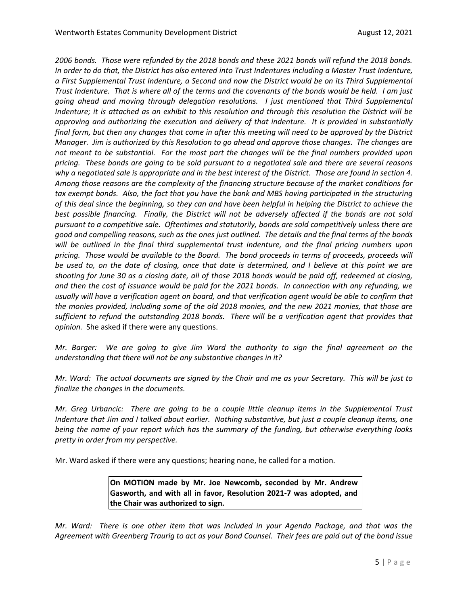*2006 bonds. Those were refunded by the 2018 bonds and these 2021 bonds will refund the 2018 bonds. In order to do that, the District has also entered into Trust Indentures including a Master Trust Indenture, a First Supplemental Trust Indenture, a Second and now the District would be on its Third Supplemental Trust Indenture. That is where all of the terms and the covenants of the bonds would be held. I am just going ahead and moving through delegation resolutions. I just mentioned that Third Supplemental Indenture; it is attached as an exhibit to this resolution and through this resolution the District will be approving and authorizing the execution and delivery of that indenture. It is provided in substantially final form, but then any changes that come in after this meeting will need to be approved by the District Manager. Jim is authorized by this Resolution to go ahead and approve those changes. The changes are not meant to be substantial. For the most part the changes will be the final numbers provided upon pricing. These bonds are going to be sold pursuant to a negotiated sale and there are several reasons why a negotiated sale is appropriate and in the best interest of the District. Those are found in section 4. Among those reasons are the complexity of the financing structure because of the market conditions for tax exempt bonds. Also, the fact that you have the bank and MBS having participated in the structuring of this deal since the beginning, so they can and have been helpful in helping the District to achieve the best possible financing. Finally, the District will not be adversely affected if the bonds are not sold pursuant to a competitive sale. Oftentimes and statutorily, bonds are sold competitively unless there are good and compelling reasons, such as the ones just outlined. The details and the final terms of the bonds will be outlined in the final third supplemental trust indenture, and the final pricing numbers upon pricing. Those would be available to the Board. The bond proceeds in terms of proceeds, proceeds will be used to, on the date of closing, once that date is determined, and I believe at this point we are shooting for June 30 as a closing date, all of those 2018 bonds would be paid off, redeemed at closing, and then the cost of issuance would be paid for the 2021 bonds. In connection with any refunding, we usually will have a verification agent on board, and that verification agent would be able to confirm that the monies provided, including some of the old 2018 monies, and the new 2021 monies, that those are sufficient to refund the outstanding 2018 bonds. There will be a verification agent that provides that opinion.* She asked if there were any questions.

*Mr. Barger: We are going to give Jim Ward the authority to sign the final agreement on the understanding that there will not be any substantive changes in it?*

*Mr. Ward: The actual documents are signed by the Chair and me as your Secretary. This will be just to finalize the changes in the documents.* 

*Mr. Greg Urbancic: There are going to be a couple little cleanup items in the Supplemental Trust Indenture that Jim and I talked about earlier. Nothing substantive, but just a couple cleanup items, one being the name of your report which has the summary of the funding, but otherwise everything looks pretty in order from my perspective.* 

Mr. Ward asked if there were any questions; hearing none, he called for a motion.

**On MOTION made by Mr. Joe Newcomb, seconded by Mr. Andrew Gasworth, and with all in favor, Resolution 2021-7 was adopted, and the Chair was authorized to sign.**

*Mr. Ward: There is one other item that was included in your Agenda Package, and that was the Agreement with Greenberg Traurig to act as your Bond Counsel. Their fees are paid out of the bond issue*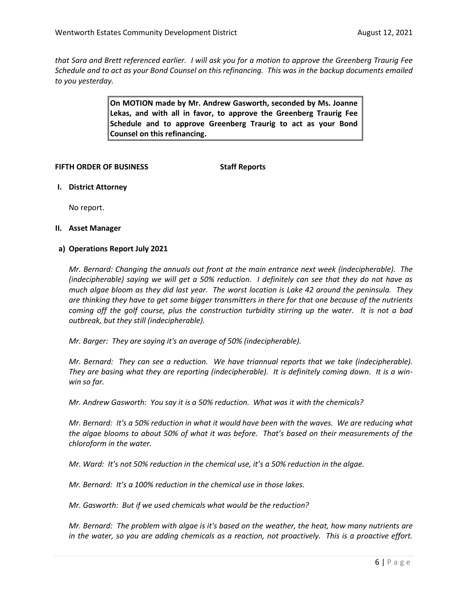*that Sara and Brett referenced earlier. I will ask you for a motion to approve the Greenberg Traurig Fee Schedule and to act as your Bond Counsel on this refinancing. This was in the backup documents emailed to you yesterday.* 

> **On MOTION made by Mr. Andrew Gasworth, seconded by Ms. Joanne Lekas, and with all in favor, to approve the Greenberg Traurig Fee Schedule and to approve Greenberg Traurig to act as your Bond Counsel on this refinancing.**

### **FIFTH ORDER OF BUSINESS Staff Reports**

**I. District Attorney**

No report.

### **II. Asset Manager**

### **a) Operations Report July 2021**

*Mr. Bernard: Changing the annuals out front at the main entrance next week (indecipherable). The (indecipherable) saying we will get a 50% reduction. I definitely can see that they do not have as much algae bloom as they did last year. The worst location is Lake 42 around the peninsula. They are thinking they have to get some bigger transmitters in there for that one because of the nutrients coming off the golf course, plus the construction turbidity stirring up the water. It is not a bad outbreak, but they still (indecipherable).* 

*Mr. Barger: They are saying it's an average of 50% (indecipherable).* 

*Mr. Bernard: They can see a reduction. We have triannual reports that we take (indecipherable). They are basing what they are reporting (indecipherable). It is definitely coming down. It is a winwin so far.* 

*Mr. Andrew Gasworth: You say it is a 50% reduction. What was it with the chemicals?*

*Mr. Bernard: It's a 50% reduction in what it would have been with the waves. We are reducing what the algae blooms to about 50% of what it was before. That's based on their measurements of the chloroform in the water.* 

*Mr. Ward: It's not 50% reduction in the chemical use, it's a 50% reduction in the algae.*

*Mr. Bernard: It's a 100% reduction in the chemical use in those lakes.* 

*Mr. Gasworth: But if we used chemicals what would be the reduction?*

*Mr. Bernard: The problem with algae is it's based on the weather, the heat, how many nutrients are in the water, so you are adding chemicals as a reaction, not proactively. This is a proactive effort.*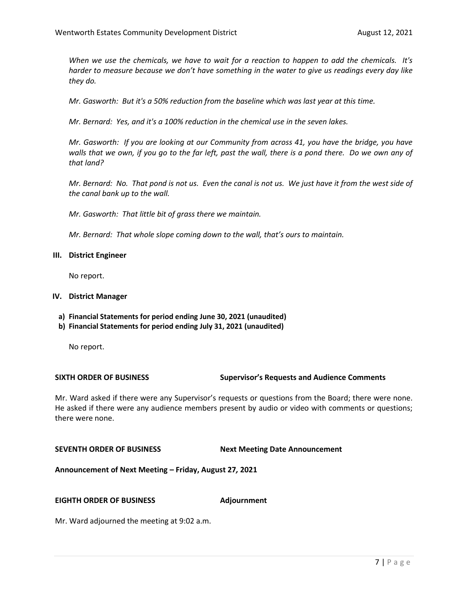*When we use the chemicals, we have to wait for a reaction to happen to add the chemicals. It's harder to measure because we don't have something in the water to give us readings every day like they do.* 

*Mr. Gasworth: But it's a 50% reduction from the baseline which was last year at this time.* 

*Mr. Bernard: Yes, and it's a 100% reduction in the chemical use in the seven lakes.* 

*Mr. Gasworth: If you are looking at our Community from across 41, you have the bridge, you have walls that we own, if you go to the far left, past the wall, there is a pond there. Do we own any of that land?* 

*Mr. Bernard: No. That pond is not us. Even the canal is not us. We just have it from the west side of the canal bank up to the wall.* 

*Mr. Gasworth: That little bit of grass there we maintain.*

*Mr. Bernard: That whole slope coming down to the wall, that's ours to maintain.* 

### **III. District Engineer**

No report.

### **IV. District Manager**

- **a) Financial Statements for period ending June 30, 2021 (unaudited)**
- **b) Financial Statements for period ending July 31, 2021 (unaudited)**

No report.

## **SIXTH ORDER OF BUSINESS Supervisor's Requests and Audience Comments**

Mr. Ward asked if there were any Supervisor's requests or questions from the Board; there were none. He asked if there were any audience members present by audio or video with comments or questions; there were none.

### **SEVENTH ORDER OF BUSINESS Next Meeting Date Announcement**

**Announcement of Next Meeting – Friday, August 27***,* **2021**

### **EIGHTH ORDER OF BUSINESS Adjournment**

Mr. Ward adjourned the meeting at 9:02 a.m.